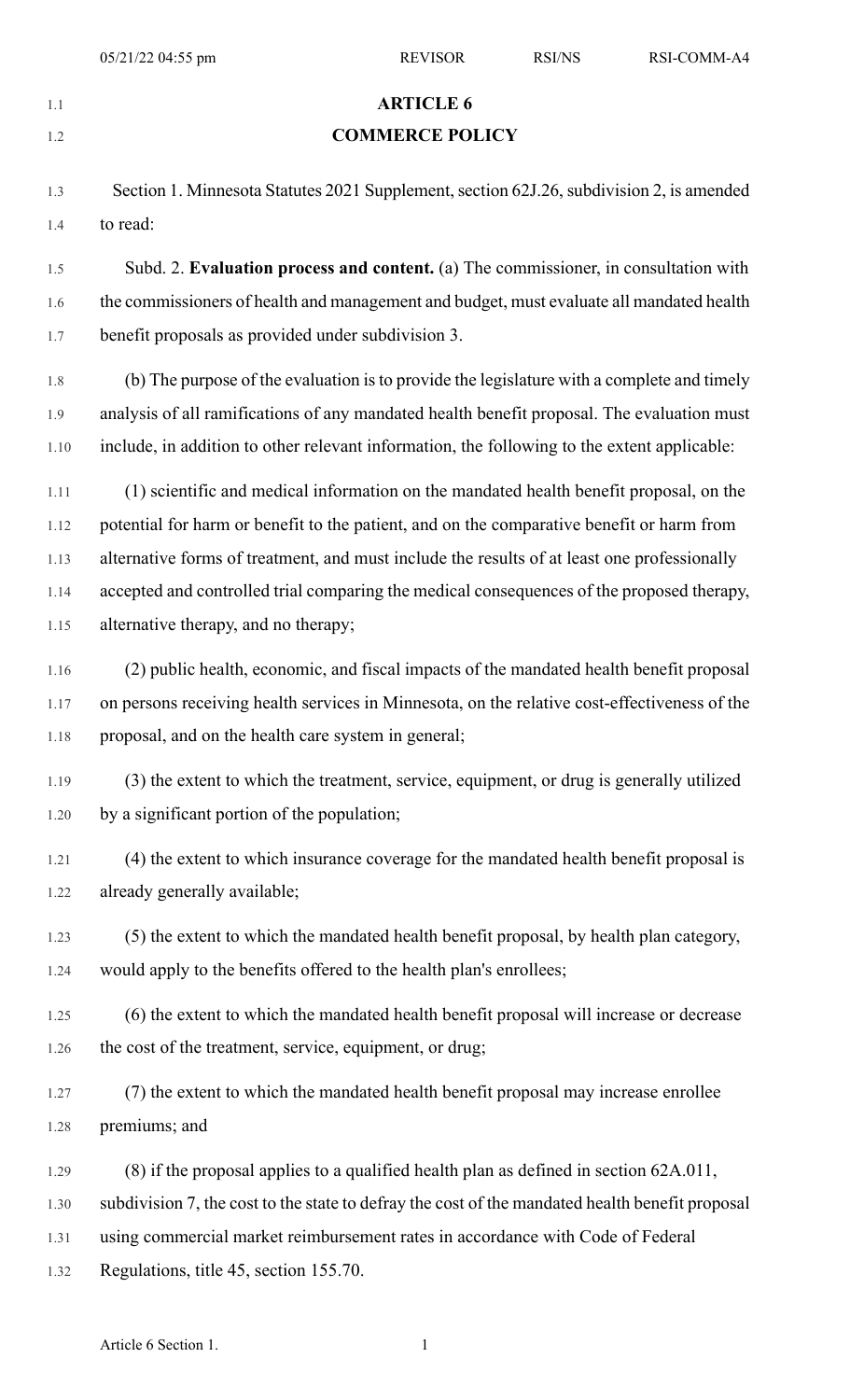|      | 05/21/22 04:55 pm                                                                                                                                             | <b>REVISOR</b>                                                                                  | <b>RSI/NS</b> | RSI-COMM-A4 |  |
|------|---------------------------------------------------------------------------------------------------------------------------------------------------------------|-------------------------------------------------------------------------------------------------|---------------|-------------|--|
| 1.1  |                                                                                                                                                               | <b>ARTICLE 6</b>                                                                                |               |             |  |
| 1.2  | <b>COMMERCE POLICY</b>                                                                                                                                        |                                                                                                 |               |             |  |
|      |                                                                                                                                                               |                                                                                                 |               |             |  |
| 1.3  | Section 1. Minnesota Statutes 2021 Supplement, section 62J.26, subdivision 2, is amended                                                                      |                                                                                                 |               |             |  |
| 1.4  | to read:                                                                                                                                                      |                                                                                                 |               |             |  |
| 1.5  | Subd. 2. Evaluation process and content. (a) The commissioner, in consultation with                                                                           |                                                                                                 |               |             |  |
| 1.6  | the commissioners of health and management and budget, must evaluate all mandated health                                                                      |                                                                                                 |               |             |  |
| 1.7  | benefit proposals as provided under subdivision 3.                                                                                                            |                                                                                                 |               |             |  |
| 1.8  | (b) The purpose of the evaluation is to provide the legislature with a complete and timely                                                                    |                                                                                                 |               |             |  |
| 1.9  | analysis of all ramifications of any mandated health benefit proposal. The evaluation must                                                                    |                                                                                                 |               |             |  |
| 1.10 | include, in addition to other relevant information, the following to the extent applicable:                                                                   |                                                                                                 |               |             |  |
| 1.11 | (1) scientific and medical information on the mandated health benefit proposal, on the                                                                        |                                                                                                 |               |             |  |
| 1.12 | potential for harm or benefit to the patient, and on the comparative benefit or harm from                                                                     |                                                                                                 |               |             |  |
| 1.13 | alternative forms of treatment, and must include the results of at least one professionally                                                                   |                                                                                                 |               |             |  |
| 1.14 | accepted and controlled trial comparing the medical consequences of the proposed therapy,                                                                     |                                                                                                 |               |             |  |
| 1.15 | alternative therapy, and no therapy;                                                                                                                          |                                                                                                 |               |             |  |
| 1.16 | (2) public health, economic, and fiscal impacts of the mandated health benefit proposal                                                                       |                                                                                                 |               |             |  |
| 1.17 | on persons receiving health services in Minnesota, on the relative cost-effectiveness of the                                                                  |                                                                                                 |               |             |  |
| 1.18 | proposal, and on the health care system in general;                                                                                                           |                                                                                                 |               |             |  |
| 1.19 |                                                                                                                                                               | (3) the extent to which the treatment, service, equipment, or drug is generally utilized        |               |             |  |
| 1.20 | by a significant portion of the population;                                                                                                                   |                                                                                                 |               |             |  |
| 1.21 | (4) the extent to which insurance coverage for the mandated health benefit proposal is                                                                        |                                                                                                 |               |             |  |
| 1.22 | already generally available;                                                                                                                                  |                                                                                                 |               |             |  |
|      |                                                                                                                                                               |                                                                                                 |               |             |  |
| 1.23 | (5) the extent to which the mandated health benefit proposal, by health plan category,<br>would apply to the benefits offered to the health plan's enrollees; |                                                                                                 |               |             |  |
| 1.24 |                                                                                                                                                               |                                                                                                 |               |             |  |
| 1.25 | (6) the extent to which the mandated health benefit proposal will increase or decrease                                                                        |                                                                                                 |               |             |  |
| 1.26 | the cost of the treatment, service, equipment, or drug;                                                                                                       |                                                                                                 |               |             |  |
| 1.27 | (7) the extent to which the mandated health benefit proposal may increase enrollee                                                                            |                                                                                                 |               |             |  |
| 1.28 | premiums; and                                                                                                                                                 |                                                                                                 |               |             |  |
| 1.29 | $(8)$ if the proposal applies to a qualified health plan as defined in section $62A.011$ ,                                                                    |                                                                                                 |               |             |  |
| 1.30 |                                                                                                                                                               | subdivision 7, the cost to the state to defray the cost of the mandated health benefit proposal |               |             |  |
| 1.31 | using commercial market reimbursement rates in accordance with Code of Federal                                                                                |                                                                                                 |               |             |  |

1.32 Regulations, title 45, section 155.70.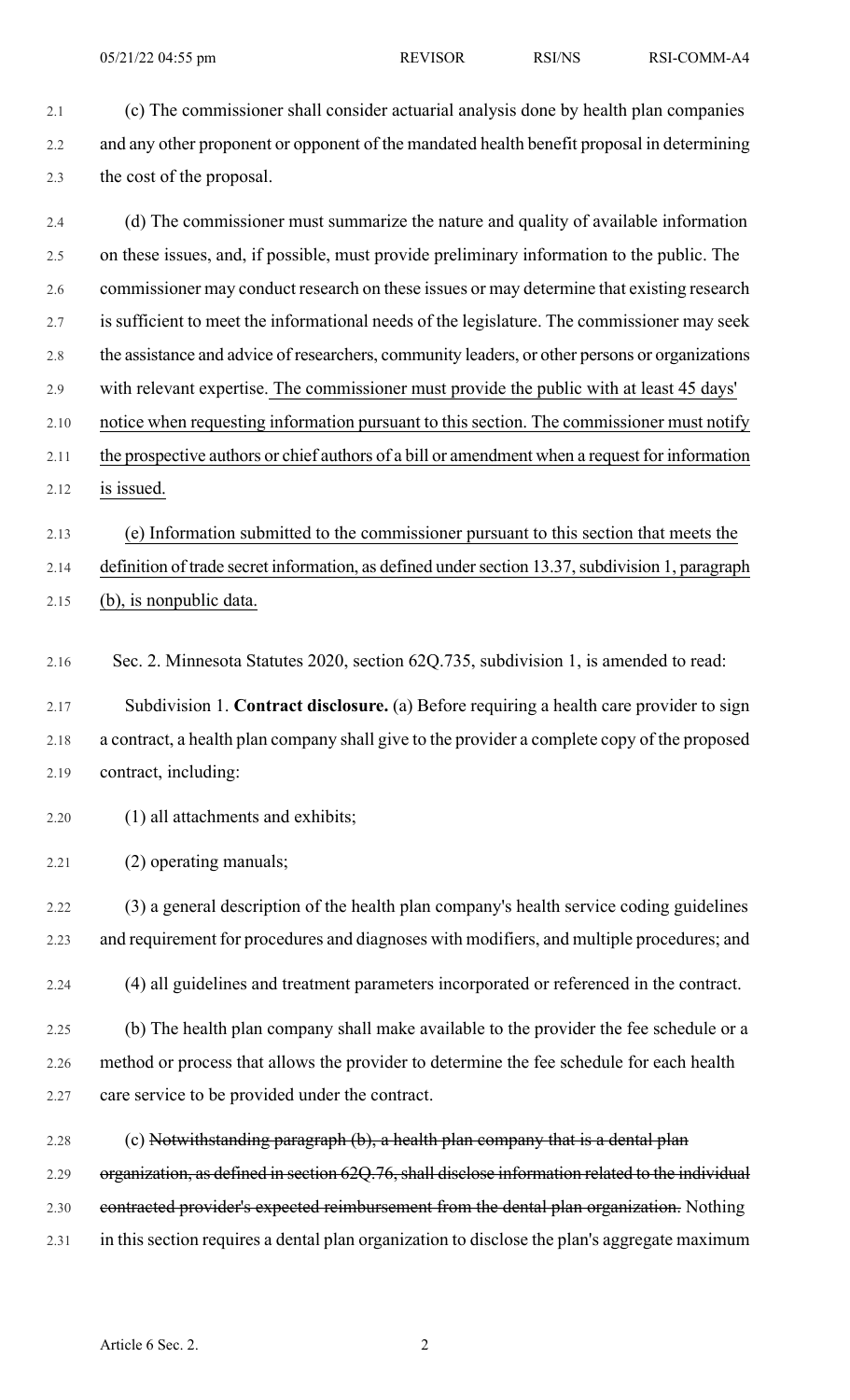2.1 (c) The commissioner shall consider actuarial analysis done by health plan companies 2.2 and any other proponent or opponent of the mandated health benefit proposal in determining 2.3 the cost of the proposal.

- 2.4 (d) The commissioner must summarize the nature and quality of available information 2.5 on these issues, and, if possible, must provide preliminary information to the public. The 2.6 commissioner may conduct research on these issues or may determine that existing research 2.7 is sufficient to meet the informational needs of the legislature. The commissioner may seek 2.8 the assistance and advice of researchers, community leaders, or other persons or organizations 2.9 with relevant expertise. The commissioner must provide the public with at least 45 days' 2.10 notice when requesting information pursuant to this section. The commissioner must notify 2.11 the prospective authors or chief authors of a bill or amendment when a request for information 2.12 is issued.
- 2.13 (e) Information submitted to the commissioner pursuant to this section that meets the 2.14 definition of trade secret information, as defined under section 13.37, subdivision 1, paragraph 2.15 (b), is nonpublic data.
- 2.16 Sec. 2. Minnesota Statutes 2020, section 62Q.735, subdivision 1, is amended to read:
- 2.17 Subdivision 1. **Contract disclosure.** (a) Before requiring a health care provider to sign 2.18 a contract, a health plan company shall give to the provider a complete copy of the proposed 2.19 contract, including:
- 2.20 (1) all attachments and exhibits;
- 2.21 (2) operating manuals;

2.22 (3) a general description of the health plan company's health service coding guidelines 2.23 and requirement for procedures and diagnoses with modifiers, and multiple procedures; and

2.24 (4) all guidelines and treatment parameters incorporated or referenced in the contract.

2.25 (b) The health plan company shall make available to the provider the fee schedule or a 2.26 method or process that allows the provider to determine the fee schedule for each health 2.27 care service to be provided under the contract.

2.28 (c) Notwithstanding paragraph (b), a health plan company that is a dental plan 2.29 organization, as defined in section 62Q.76, shall disclose information related to the individual 2.30 contracted provider's expected reimbursement from the dental plan organization. Nothing 2.31 in this section requires a dental plan organization to disclose the plan's aggregate maximum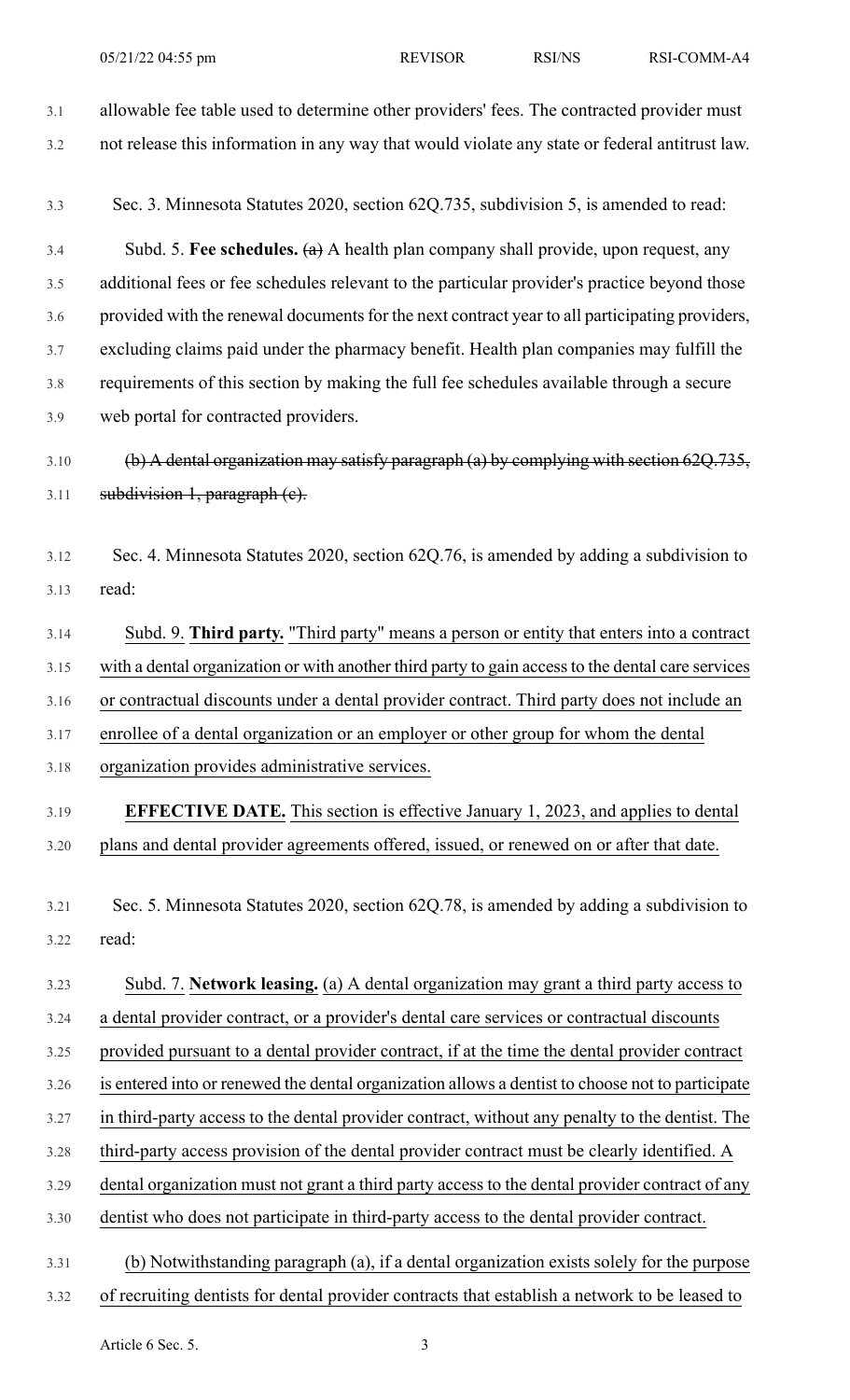- 3.1 allowable fee table used to determine other providers' fees. The contracted provider must 3.2 not release this information in any way that would violate any state or federal antitrust law. 3.3 Sec. 3. Minnesota Statutes 2020, section 62Q.735, subdivision 5, is amended to read: 3.4 Subd. 5. **Fee schedules.** (a) A health plan company shall provide, upon request, any 3.5 additional fees or fee schedules relevant to the particular provider's practice beyond those 3.6 provided with the renewal documents for the next contract year to all participating providers, 3.7 excluding claims paid under the pharmacy benefit. Health plan companies may fulfill the 3.8 requirements of this section by making the full fee schedules available through a secure 3.9 web portal for contracted providers. 3.10 (b) A dental organization may satisfy paragraph (a) by complying with section 62Q.735,  $3.11$  subdivision 1, paragraph (e). 3.12 Sec. 4. Minnesota Statutes 2020, section 62Q.76, is amended by adding a subdivision to 3.13 read: 3.14 Subd. 9. **Third party.** "Third party" means a person or entity that enters into a contract 3.15 with a dental organization or with another third party to gain accessto the dental care services 3.16 or contractual discounts under a dental provider contract. Third party does not include an 3.17 enrollee of a dental organization or an employer or other group for whom the dental 3.18 organization provides administrative services. 3.19 **EFFECTIVE DATE.** This section is effective January 1, 2023, and applies to dental 3.20 plans and dental provider agreements offered, issued, or renewed on or after that date. 3.21 Sec. 5. Minnesota Statutes 2020, section 62Q.78, is amended by adding a subdivision to 3.22 read: 3.23 Subd. 7. **Network leasing.** (a) A dental organization may grant a third party access to 3.24 a dental provider contract, or a provider's dental care services or contractual discounts 3.25 provided pursuant to a dental provider contract, if at the time the dental provider contract 3.26 is entered into or renewed the dental organization allows a dentist to choose not to participate 3.27 in third-party access to the dental provider contract, without any penalty to the dentist. The 3.28 third-party access provision of the dental provider contract must be clearly identified. A 3.29 dental organization must not grant a third party access to the dental provider contract of any 3.30 dentist who does not participate in third-party access to the dental provider contract. 3.31 (b) Notwithstanding paragraph (a), if a dental organization exists solely for the purpose
- 3.32 of recruiting dentists for dental provider contracts that establish a network to be leased to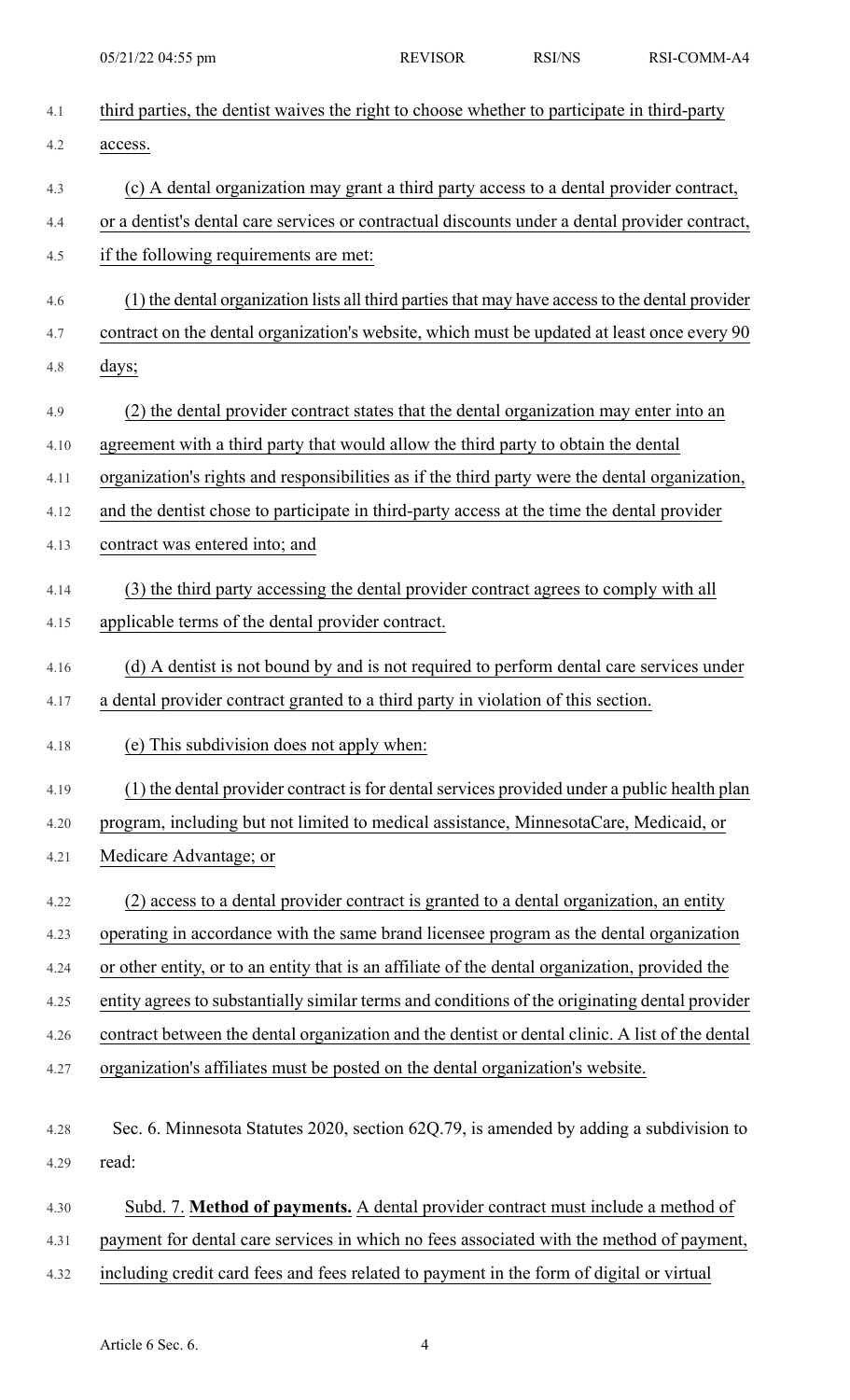| 4.1  | third parties, the dentist waives the right to choose whether to participate in third-party     |  |  |
|------|-------------------------------------------------------------------------------------------------|--|--|
| 4.2  | access.                                                                                         |  |  |
| 4.3  | (c) A dental organization may grant a third party access to a dental provider contract,         |  |  |
| 4.4  | or a dentist's dental care services or contractual discounts under a dental provider contract,  |  |  |
| 4.5  | if the following requirements are met:                                                          |  |  |
| 4.6  | (1) the dental organization lists all third parties that may have access to the dental provider |  |  |
| 4.7  | contract on the dental organization's website, which must be updated at least once every 90     |  |  |
| 4.8  | days;                                                                                           |  |  |
| 4.9  | (2) the dental provider contract states that the dental organization may enter into an          |  |  |
| 4.10 | agreement with a third party that would allow the third party to obtain the dental              |  |  |
| 4.11 | organization's rights and responsibilities as if the third party were the dental organization,  |  |  |
| 4.12 | and the dentist chose to participate in third-party access at the time the dental provider      |  |  |
| 4.13 | contract was entered into; and                                                                  |  |  |
| 4.14 | (3) the third party accessing the dental provider contract agrees to comply with all            |  |  |
| 4.15 | applicable terms of the dental provider contract.                                               |  |  |
| 4.16 | (d) A dentist is not bound by and is not required to perform dental care services under         |  |  |
| 4.17 | a dental provider contract granted to a third party in violation of this section.               |  |  |
| 4.18 | (e) This subdivision does not apply when:                                                       |  |  |
| 4.19 | (1) the dental provider contract is for dental services provided under a public health plan     |  |  |
| 4.20 | program, including but not limited to medical assistance, MinnesotaCare, Medicaid, or           |  |  |
| 4.21 | Medicare Advantage; or                                                                          |  |  |
| 4.22 | (2) access to a dental provider contract is granted to a dental organization, an entity         |  |  |
| 4.23 | operating in accordance with the same brand licensee program as the dental organization         |  |  |
| 4.24 | or other entity, or to an entity that is an affiliate of the dental organization, provided the  |  |  |
| 4.25 | entity agrees to substantially similar terms and conditions of the originating dental provider  |  |  |
| 4.26 | contract between the dental organization and the dentist or dental clinic. A list of the dental |  |  |
| 4.27 | organization's affiliates must be posted on the dental organization's website.                  |  |  |
| 4.28 | Sec. 6. Minnesota Statutes 2020, section 62Q.79, is amended by adding a subdivision to          |  |  |
| 4.29 | read:                                                                                           |  |  |
| 4.30 | Subd. 7. Method of payments. A dental provider contract must include a method of                |  |  |
| 4.31 | payment for dental care services in which no fees associated with the method of payment,        |  |  |
| 4.32 | including credit card fees and fees related to payment in the form of digital or virtual        |  |  |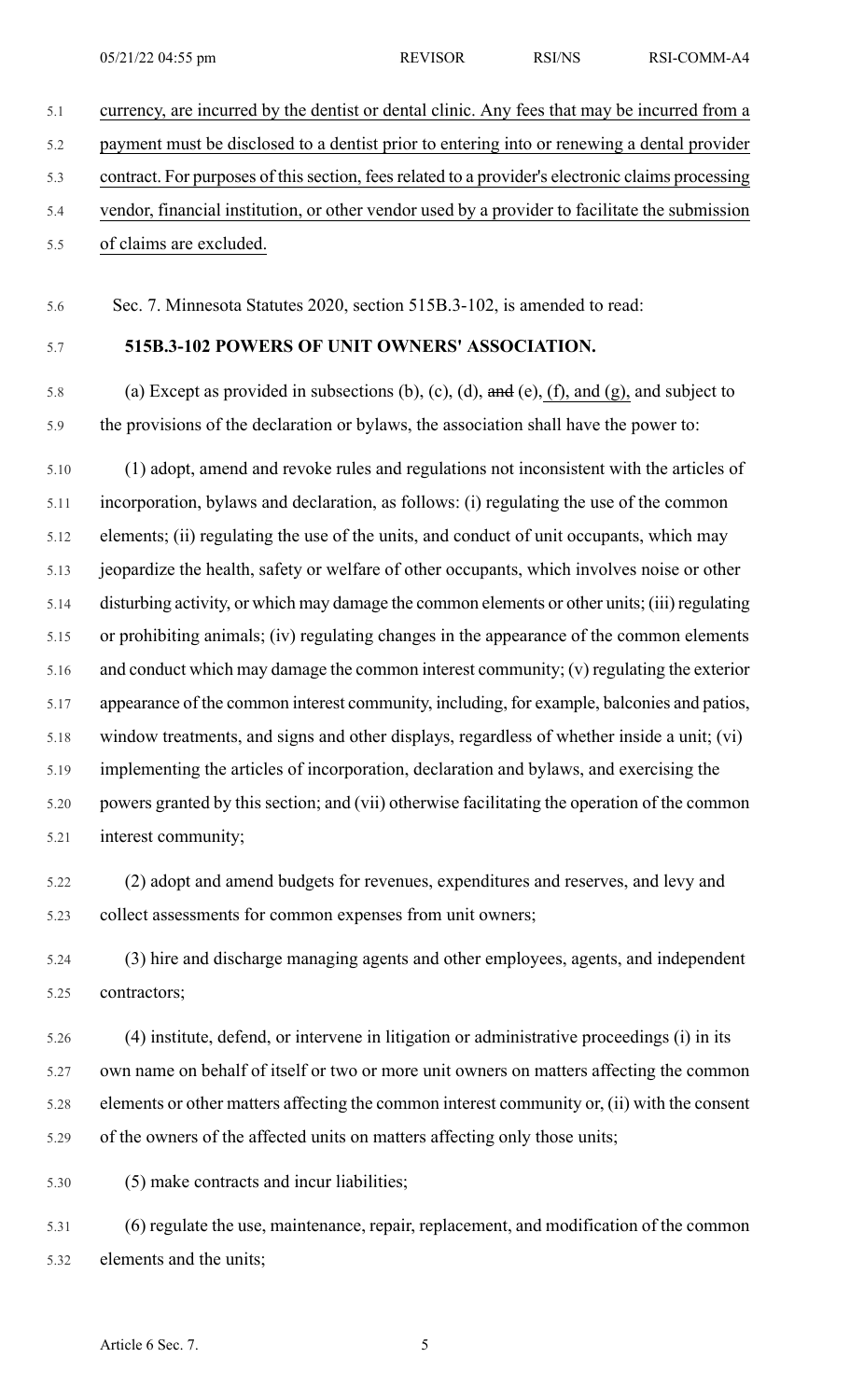5.1 currency, are incurred by the dentist or dental clinic. Any fees that may be incurred from a 5.2 payment must be disclosed to a dentist prior to entering into or renewing a dental provider 5.3 contract. For purposes of this section, fees related to a provider's electronic claims processing 5.4 vendor, financial institution, or other vendor used by a provider to facilitate the submission 5.5 of claims are excluded.

5.6 Sec. 7. Minnesota Statutes 2020, section 515B.3-102, is amended to read:

## 5.7 **515B.3-102 POWERS OF UNIT OWNERS' ASSOCIATION.**

5.8 (a) Except as provided in subsections (b), (c), (d),  $\theta$  and (e), (f), and (g), and subject to 5.9 the provisions of the declaration or bylaws, the association shall have the power to:

5.10 (1) adopt, amend and revoke rules and regulations not inconsistent with the articles of 5.11 incorporation, bylaws and declaration, as follows: (i) regulating the use of the common 5.12 elements; (ii) regulating the use of the units, and conduct of unit occupants, which may 5.13 jeopardize the health, safety or welfare of other occupants, which involves noise or other 5.14 disturbing activity, or which may damage the common elements or other units; (iii) regulating 5.15 or prohibiting animals; (iv) regulating changes in the appearance of the common elements 5.16 and conduct which may damage the common interest community; (v) regulating the exterior 5.17 appearance of the common interest community, including, for example, balconies and patios, 5.18 window treatments, and signs and other displays, regardless of whether inside a unit; (vi) 5.19 implementing the articles of incorporation, declaration and bylaws, and exercising the 5.20 powers granted by this section; and (vii) otherwise facilitating the operation of the common 5.21 interest community;

5.22 (2) adopt and amend budgets for revenues, expenditures and reserves, and levy and 5.23 collect assessments for common expenses from unit owners;

5.24 (3) hire and discharge managing agents and other employees, agents, and independent 5.25 contractors;

5.26 (4) institute, defend, or intervene in litigation or administrative proceedings (i) in its 5.27 own name on behalf of itself or two or more unit owners on matters affecting the common 5.28 elements or other matters affecting the common interest community or, (ii) with the consent 5.29 of the owners of the affected units on matters affecting only those units;

5.30 (5) make contracts and incur liabilities;

5.31 (6) regulate the use, maintenance, repair, replacement, and modification of the common 5.32 elements and the units;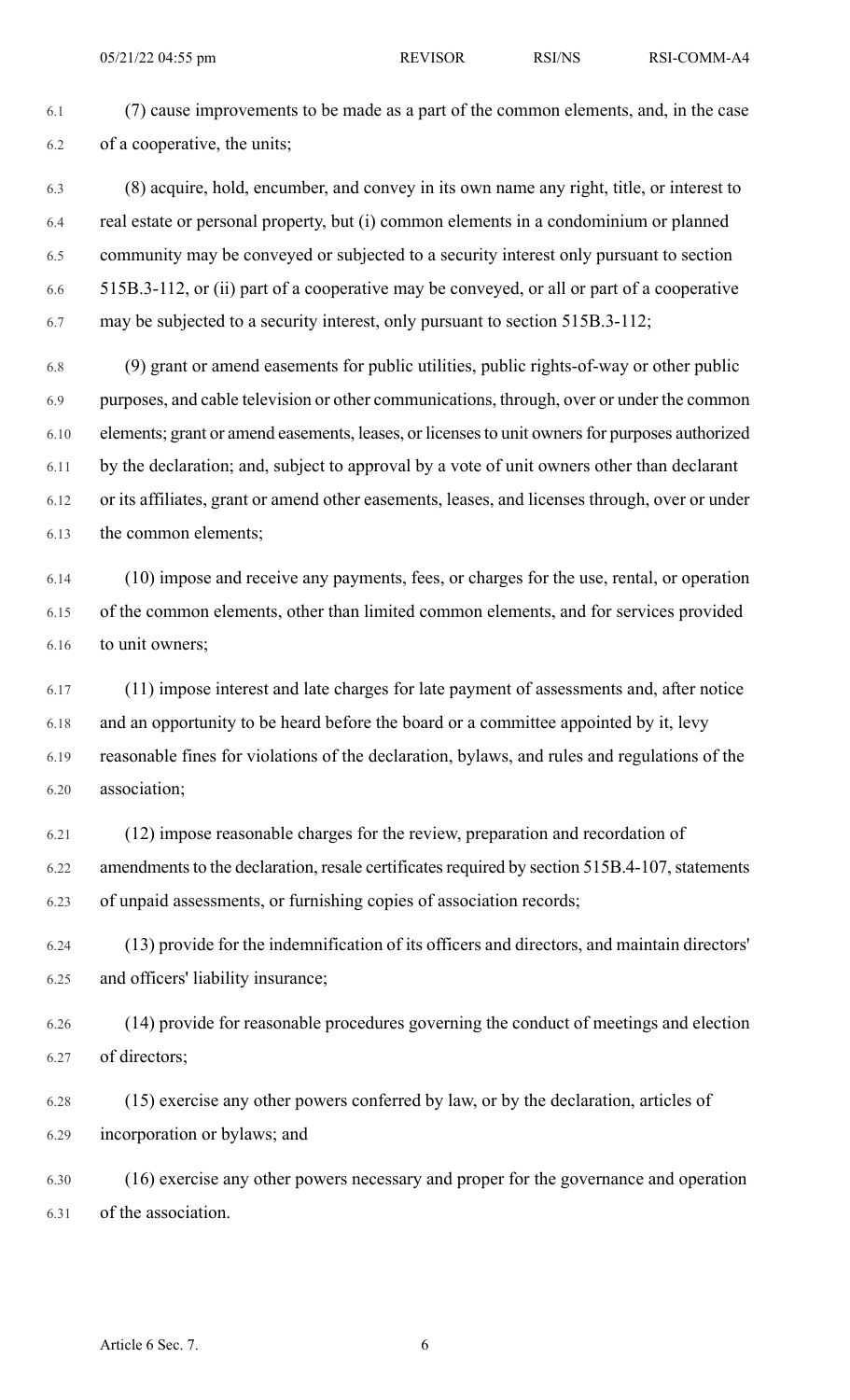6.1 (7) cause improvements to be made as a part of the common elements, and, in the case 6.2 of a cooperative, the units;

6.3 (8) acquire, hold, encumber, and convey in its own name any right, title, or interest to 6.4 real estate or personal property, but (i) common elements in a condominium or planned 6.5 community may be conveyed or subjected to a security interest only pursuant to section 6.6 515B.3-112, or (ii) part of a cooperative may be conveyed, or all or part of a cooperative 6.7 may be subjected to a security interest, only pursuant to section 515B.3-112;

6.8 (9) grant or amend easements for public utilities, public rights-of-way or other public 6.9 purposes, and cable television or other communications, through, over or under the common 6.10 elements; grant or amend easements, leases, or licensesto unit ownersfor purposes authorized 6.11 by the declaration; and, subject to approval by a vote of unit owners other than declarant 6.12 or its affiliates, grant or amend other easements, leases, and licenses through, over or under 6.13 the common elements;

6.14 (10) impose and receive any payments, fees, or charges for the use, rental, or operation 6.15 of the common elements, other than limited common elements, and for services provided 6.16 to unit owners;

6.17 (11) impose interest and late charges for late payment of assessments and, after notice 6.18 and an opportunity to be heard before the board or a committee appointed by it, levy 6.19 reasonable fines for violations of the declaration, bylaws, and rules and regulations of the 6.20 association;

6.21 (12) impose reasonable charges for the review, preparation and recordation of 6.22 amendments to the declaration, resale certificates required by section 515B.4-107, statements 6.23 of unpaid assessments, or furnishing copies of association records;

6.24 (13) provide for the indemnification of its officers and directors, and maintain directors' 6.25 and officers' liability insurance;

6.26 (14) provide for reasonable procedures governing the conduct of meetings and election 6.27 of directors;

6.28 (15) exercise any other powers conferred by law, or by the declaration, articles of 6.29 incorporation or bylaws; and

6.30 (16) exercise any other powers necessary and proper for the governance and operation 6.31 of the association.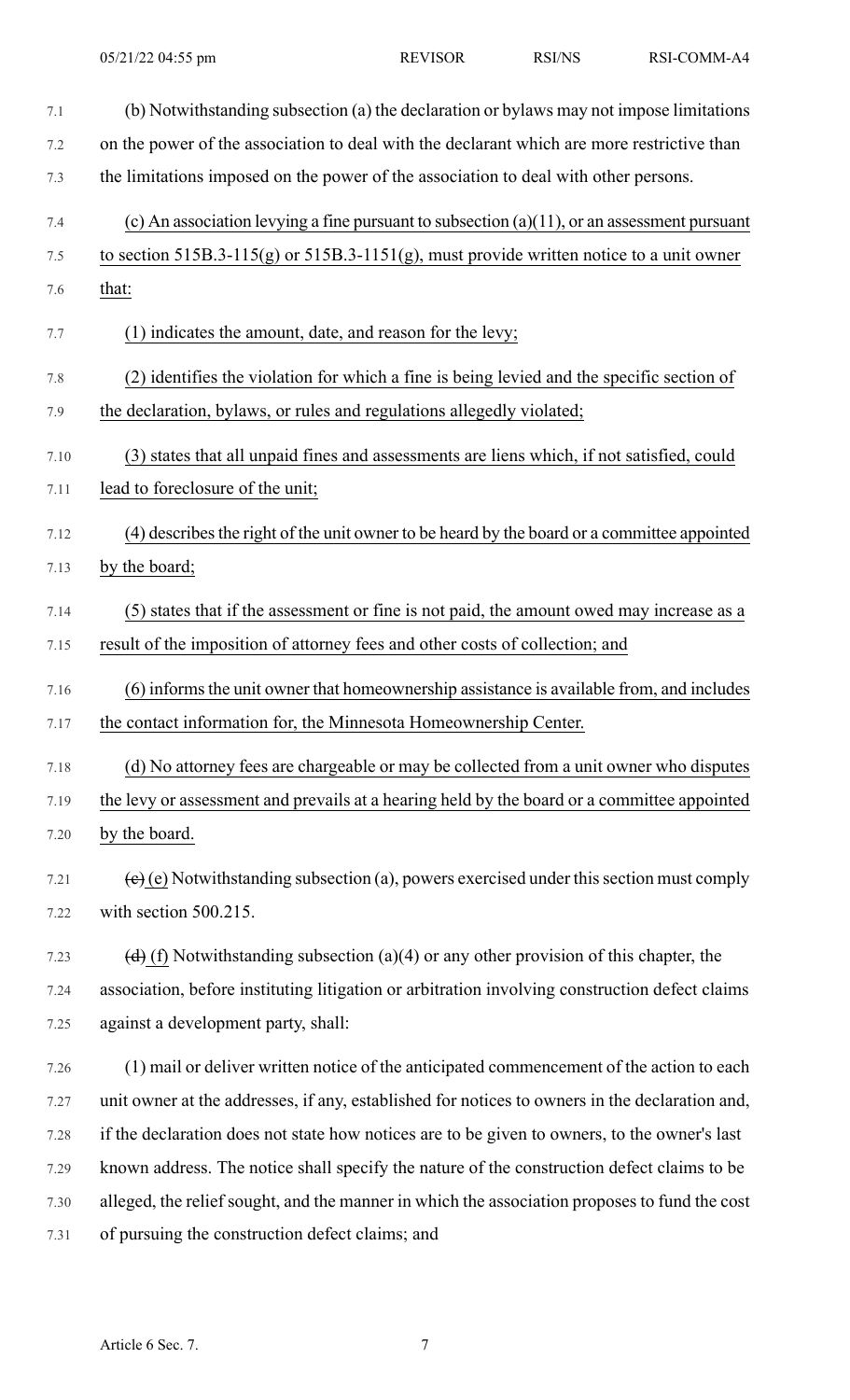7.1 (b) Notwithstanding subsection (a) the declaration or bylaws may not impose limitations 7.2 on the power of the association to deal with the declarant which are more restrictive than 7.3 the limitations imposed on the power of the association to deal with other persons. 7.4 (c) An association levying a fine pursuant to subsection (a)(11), or an assessment pursuant 7.5 to section 515B.3-115(g) or 515B.3-1151(g), must provide written notice to a unit owner 7.6 that: 7.7 (1) indicates the amount, date, and reason for the levy; 7.8 (2) identifies the violation for which a fine is being levied and the specific section of 7.9 the declaration, bylaws, or rules and regulations allegedly violated; 7.10 (3) states that all unpaid fines and assessments are liens which, if not satisfied, could 7.11 lead to foreclosure of the unit; 7.12 (4) describesthe right of the unit owner to be heard by the board or a committee appointed 7.13 by the board; 7.14 (5) states that if the assessment or fine is not paid, the amount owed may increase as a 7.15 result of the imposition of attorney fees and other costs of collection; and 7.16 (6) informsthe unit owner that homeownership assistance is available from, and includes 7.17 the contact information for, the Minnesota Homeownership Center. 7.18 (d) No attorney fees are chargeable or may be collected from a unit owner who disputes 7.19 the levy or assessment and prevails at a hearing held by the board or a committee appointed 7.20 by the board. 7.21 (e) (e) Notwithstanding subsection (a), powers exercised under this section must comply 7.22 with section 500.215. 7.23 (d) (f) Notwithstanding subsection (a)(4) or any other provision of this chapter, the 7.24 association, before instituting litigation or arbitration involving construction defect claims 7.25 against a development party, shall: 7.26 (1) mail or deliver written notice of the anticipated commencement of the action to each 7.27 unit owner at the addresses, if any, established for notices to owners in the declaration and, 7.28 if the declaration does not state how notices are to be given to owners, to the owner's last 7.29 known address. The notice shall specify the nature of the construction defect claims to be 7.30 alleged, the relief sought, and the manner in which the association proposes to fund the cost 7.31 of pursuing the construction defect claims; and